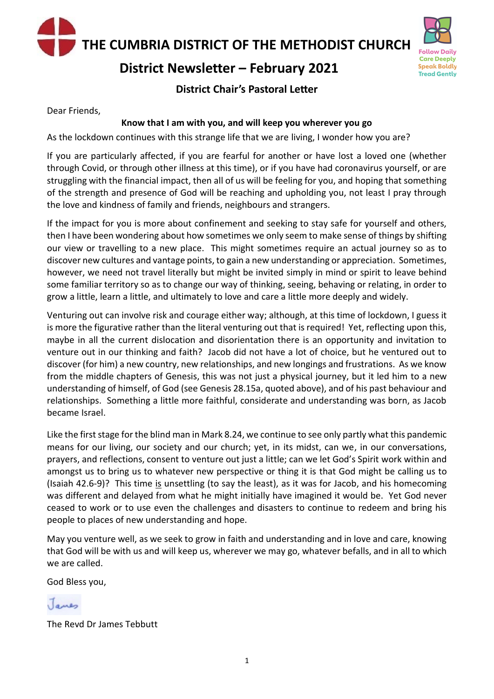**THE CUMBRIA DISTRICT OF THE METHODIST CHURCH**

### **District Newsletter – February 2021**



#### **District Chair's Pastoral Letter**

Dear Friends,

#### **Know that I am with you, and will keep you wherever you go**

As the lockdown continues with this strange life that we are living, I wonder how you are?

If you are particularly affected, if you are fearful for another or have lost a loved one (whether through Covid, or through other illness at this time), or if you have had coronavirus yourself, or are struggling with the financial impact, then all of us will be feeling for you, and hoping that something of the strength and presence of God will be reaching and upholding you, not least I pray through the love and kindness of family and friends, neighbours and strangers.

If the impact for you is more about confinement and seeking to stay safe for yourself and others, then I have been wondering about how sometimes we only seem to make sense of things by shifting our view or travelling to a new place. This might sometimes require an actual journey so as to discover new cultures and vantage points, to gain a new understanding or appreciation. Sometimes, however, we need not travel literally but might be invited simply in mind or spirit to leave behind some familiar territory so as to change our way of thinking, seeing, behaving or relating, in order to grow a little, learn a little, and ultimately to love and care a little more deeply and widely.

Venturing out can involve risk and courage either way; although, at this time of lockdown, I guess it is more the figurative rather than the literal venturing out that is required! Yet, reflecting upon this, maybe in all the current dislocation and disorientation there is an opportunity and invitation to venture out in our thinking and faith? Jacob did not have a lot of choice, but he ventured out to discover (for him) a new country, new relationships, and new longings and frustrations. As we know from the middle chapters of Genesis, this was not just a physical journey, but it led him to a new understanding of himself, of God (see Genesis 28.15a, quoted above), and of his past behaviour and relationships. Something a little more faithful, considerate and understanding was born, as Jacob became Israel.

Like the first stage for the blind man in Mark 8.24, we continue to see only partly what this pandemic means for our living, our society and our church; yet, in its midst, can we, in our conversations, prayers, and reflections, consent to venture out just a little; can we let God's Spirit work within and amongst us to bring us to whatever new perspective or thing it is that God might be calling us to (Isaiah 42.6-9)? This time is unsettling (to say the least), as it was for Jacob, and his homecoming was different and delayed from what he might initially have imagined it would be. Yet God never ceased to work or to use even the challenges and disasters to continue to redeem and bring his people to places of new understanding and hope.

May you venture well, as we seek to grow in faith and understanding and in love and care, knowing that God will be with us and will keep us, wherever we may go, whatever befalls, and in all to which we are called.

God Bless you,

Janes

The Revd Dr James Tebbutt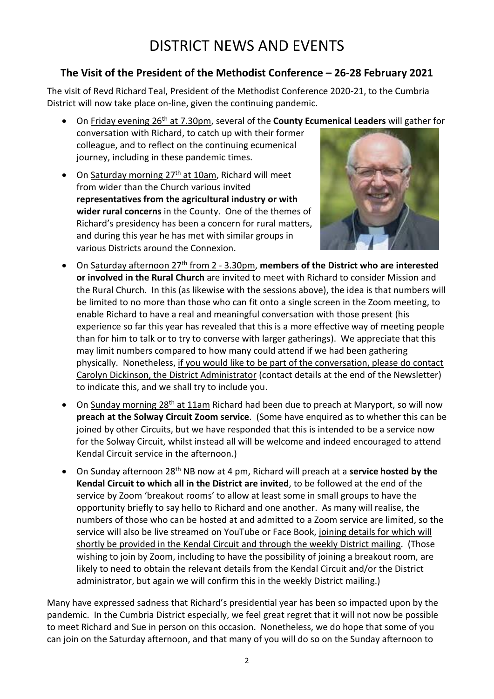# DISTRICT NEWS AND EVENTS

### **The Visit of the President of the Methodist Conference – 26-28 February 2021**

The visit of Revd Richard Teal, President of the Methodist Conference 2020-21, to the Cumbria District will now take place on-line, given the continuing pandemic.

- On Friday evening 26th at 7.30pm, several of the **County Ecumenical Leaders** will gather for
- conversation with Richard, to catch up with their former colleague, and to reflect on the continuing ecumenical journey, including in these pandemic times.
- On Saturday morning 27<sup>th</sup> at 10am, Richard will meet from wider than the Church various invited **representatives from the agricultural industry or with wider rural concerns** in the County. One of the themes of Richard's presidency has been a concern for rural matters, and during this year he has met with similar groups in various Districts around the Connexion.



- On Saturday afternoon 27th from 2 3.30pm, **members of the District who are interested or involved in the Rural Church** are invited to meet with Richard to consider Mission and the Rural Church. In this (as likewise with the sessions above), the idea is that numbers will be limited to no more than those who can fit onto a single screen in the Zoom meeting, to enable Richard to have a real and meaningful conversation with those present (his experience so far this year has revealed that this is a more effective way of meeting people than for him to talk or to try to converse with larger gatherings). We appreciate that this may limit numbers compared to how many could attend if we had been gathering physically. Nonetheless, if you would like to be part of the conversation, please do contact Carolyn Dickinson, the District Administrator (contact details at the end of the Newsletter) to indicate this, and we shall try to include you.
- On Sunday morning 28<sup>th</sup> at 11am Richard had been due to preach at Maryport, so will now **preach at the Solway Circuit Zoom service**. (Some have enquired as to whether this can be joined by other Circuits, but we have responded that this is intended to be a service now for the Solway Circuit, whilst instead all will be welcome and indeed encouraged to attend Kendal Circuit service in the afternoon.)
- On Sunday afternoon 28th NB now at 4 pm, Richard will preach at a **service hosted by the Kendal Circuit to which all in the District are invited**, to be followed at the end of the service by Zoom 'breakout rooms' to allow at least some in small groups to have the opportunity briefly to say hello to Richard and one another. As many will realise, the numbers of those who can be hosted at and admitted to a Zoom service are limited, so the service will also be live streamed on YouTube or Face Book, joining details for which will shortly be provided in the Kendal Circuit and through the weekly District mailing. (Those wishing to join by Zoom, including to have the possibility of joining a breakout room, are likely to need to obtain the relevant details from the Kendal Circuit and/or the District administrator, but again we will confirm this in the weekly District mailing.)

Many have expressed sadness that Richard's presidential year has been so impacted upon by the pandemic. In the Cumbria District especially, we feel great regret that it will not now be possible to meet Richard and Sue in person on this occasion. Nonetheless, we do hope that some of you can join on the Saturday afternoon, and that many of you will do so on the Sunday afternoon to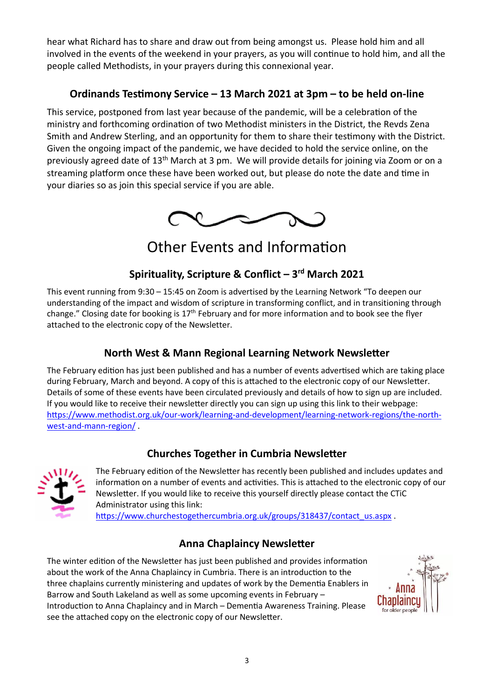hear what Richard has to share and draw out from being amongst us. Please hold him and all involved in the events of the weekend in your prayers, as you will continue to hold him, and all the people called Methodists, in your prayers during this connexional year.

### **Ordinands Testimony Service – 13 March 2021 at 3pm – to be held on-line**

This service, postponed from last year because of the pandemic, will be a celebration of the ministry and forthcoming ordination of two Methodist ministers in the District, the Revds Zena Smith and Andrew Sterling, and an opportunity for them to share their testimony with the District. Given the ongoing impact of the pandemic, we have decided to hold the service online, on the previously agreed date of 13th March at 3 pm. We will provide details for joining via Zoom or on a streaming platform once these have been worked out, but please do note the date and time in your diaries so as join this special service if you are able.



### Other Events and Information

### **Spirituality, Scripture & Conflict – 3 rd March 2021**

This event running from 9:30 – 15:45 on Zoom is advertised by the Learning Network "To deepen our understanding of the impact and wisdom of scripture in transforming conflict, and in transitioning through change." Closing date for booking is  $17<sup>th</sup>$  February and for more information and to book see the flyer attached to the electronic copy of the Newsletter.

### **North West & Mann Regional Learning Network Newsletter**

The February edition has just been published and has a number of events advertised which are taking place during February, March and beyond. A copy of this is attached to the electronic copy of our Newsletter. Details of some of these events have been circulated previously and details of how to sign up are included. If you would like to receive their newsletter directly you can sign up using this link to their webpage: [https://www.methodist.org.uk/our-work/learning-and-development/learning-network-regions/the-north](https://www.methodist.org.uk/our-work/learning-and-development/learning-network-regions/the-north-west-and-mann-region/)[west-and-mann-region/](https://www.methodist.org.uk/our-work/learning-and-development/learning-network-regions/the-north-west-and-mann-region/) .

#### **Churches Together in Cumbria Newsletter**



The February edition of the Newsletter has recently been published and includes updates and information on a number of events and activities. This is attached to the electronic copy of our Newsletter. If you would like to receive this yourself directly please contact the CTiC Administrator using this link:

[https://www.churchestogethercumbria.org.uk/groups/318437/contact\\_us.aspx](https://www.churchestogethercumbria.org.uk/groups/318437/contact_us.aspx) .

### **Anna Chaplaincy Newsletter**

The winter edition of the Newsletter has just been published and provides information about the work of the Anna Chaplaincy in Cumbria. There is an introduction to the three chaplains currently ministering and updates of work by the Dementia Enablers in Barrow and South Lakeland as well as some upcoming events in February – Introduction to Anna Chaplaincy and in March – Dementia Awareness Training. Please see the attached copy on the electronic copy of our Newsletter.